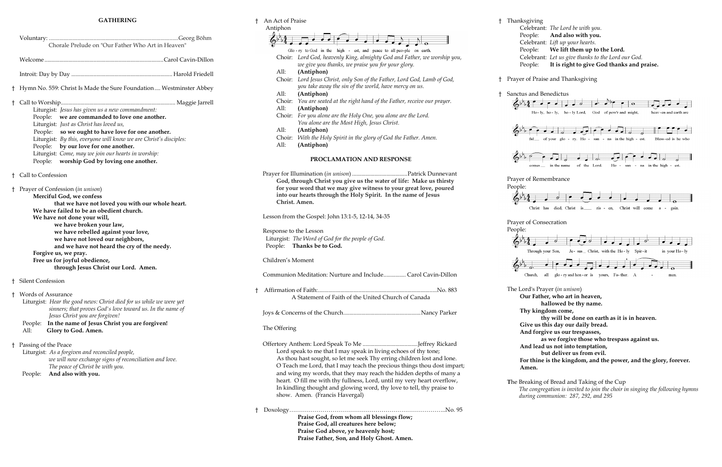| <b>GATHERING</b> |                                                                                                                                                                                                                                                                                                                                                                                                                                                               |  |  |
|------------------|---------------------------------------------------------------------------------------------------------------------------------------------------------------------------------------------------------------------------------------------------------------------------------------------------------------------------------------------------------------------------------------------------------------------------------------------------------------|--|--|
|                  | Chorale Prelude on "Our Father Who Art in Heaven"                                                                                                                                                                                                                                                                                                                                                                                                             |  |  |
|                  |                                                                                                                                                                                                                                                                                                                                                                                                                                                               |  |  |
|                  |                                                                                                                                                                                                                                                                                                                                                                                                                                                               |  |  |
|                  | <sup>†</sup> Hymn No. 559: Christ Is Made the Sure Foundation  Westminster Abbey                                                                                                                                                                                                                                                                                                                                                                              |  |  |
|                  | Liturgist: Jesus has given us a new commandment:<br>we are commanded to love one another.<br>People:<br>Liturgist: Just as Christ has loved us,<br>People: so we ought to have love for one another.<br>Liturgist: By this, everyone will know we are Christ's disciples:<br>People: by our love for one another.<br>Liturgist: Come, may we join our hearts in worship:<br>People: worship God by loving one another.                                        |  |  |
|                  | † Call to Confession                                                                                                                                                                                                                                                                                                                                                                                                                                          |  |  |
|                  | † Prayer of Confession ( <i>in unison</i> )<br>Merciful God, we confess<br>that we have not loved you with our whole heart.<br>We have failed to be an obedient church.<br>We have not done your will,<br>we have broken your law,<br>we have rebelled against your love,<br>we have not loved our neighbors,<br>and we have not heard the cry of the needy.<br>Forgive us, we pray.<br>Free us for joyful obedience,<br>through Jesus Christ our Lord. Amen. |  |  |
|                  | † Silent Confession                                                                                                                                                                                                                                                                                                                                                                                                                                           |  |  |
|                  | † Words of Assurance<br>Liturgist: Hear the good news: Christ died for us while we were yet<br>sinners; that proves God's love toward us. In the name of<br>Jesus Christ you are forgiven!<br>In the name of Jesus Christ you are forgiven!<br>People:<br>All:<br>Glory to God. Amen.                                                                                                                                                                         |  |  |
|                  | † Passing of the Peace<br>Liturgist: As a forgiven and reconciled people,<br>we will now exchange signs of reconciliation and love.<br>The peace of Christ be with you.<br>And also with you.<br>People:                                                                                                                                                                                                                                                      |  |  |

# † An Act of Praise † Thanksgi Antiphon Celebrant: *The Lord be with you.* Peop<sup>1</sup> Celebrant: *Lift up your hearts.* Glo-ry to God in the high - est, and peace to all peo-ple on earth. Choir: *Lord God, heavenly King, almighty God and Father, we worship you, we give you thanks, we praise you for your glory.* All: **(Antiphon)** Choir: *Lord Jesus Christ, only Son of the Father, Lord God, Lamb of God, you take away the sin of the world, have mercy on us.* All: **(Antiphon)** Choir: *You are seated at the right hand of the Father, receive our prayer.* All: **(Antiphon)** Choir: *For you alone are the Holy One, you alone are the Lord. You alone are the Most High, Jesus Christ.* All: **(Antiphon)** Choir: *With the Holy Spirit in the glory of God the Father. Amen.* All: **(Antiphon) PROCLAMATION AND RESPONSE** Prayer for Illumination (*in unison*) .....................................Patrick Dunnevant **God, through Christ you give us the water of life: Make us thirsty**  People: **for your word that we may give witness to your great love, poured into our hearts through the Holy Spirit. In the name of Jesus Christ. Amen.** Lesson from the Gospel: John 13:1-5, 12-14, 34-35 People: Response to the Lesson Liturgist: *The Word of God for the people of God.* People: **Thanks be to God.** Children's Moment Communion Meditation: Nurture and Include............... Carol Cavin-Dillon † Affirmation of Faith:................................................................................No. 883 A Statement of Faith of the United Church of Canada Joys & Concerns of the Church....................................................Nancy Parker The Offering Offertory Anthem: Lord Speak To Me .....................................Jeffrey Rickard Lord speak to me that I may speak in living echoes of thy tone; As thou hast sought, so let me seek Thy erring children lost and lone. O Teach me Lord, that I may teach the precious things thou dost impart; and wing my words, that they may reach the hidden depths of many a heart. O fill me with thy fullness, Lord, until my very heart overflow, In kindling thought and glowing word, thy love to tell, thy praise to show. Amen. (Francis Havergal) † Doxology……………………………………………………………………..No. 95 **Praise God, from whom all blessings flow;**

**Praise God, all creatures here below; Praise God above, ye heavenly host; Praise Father, Son, and Holy Ghost. Amen.**

| ksgiving |                                                    |
|----------|----------------------------------------------------|
|          | Celebrant: The Lord be with you.                   |
|          | People: And also with you.                         |
|          | Celebrant: Lift up your hearts.                    |
|          | People: We lift them up to the Lord.               |
|          | Celebrant: Let us give thanks to the Lord our God. |
|          | People: It is right to give God thanks and praise. |

† Prayer of Praise and Thanksgiving



**Give us this day our daily bread.**

**And forgive us our trespasses,**

**as we forgive those who trespass against us.**

**And lead us not into temptation,** 

**but deliver us from evil.**

**For thine is the kingdom, and the power, and the glory, forever. Amen.**

**T**he Breaking of Bread and Taking of the Cup

*The congregation is invited to join the choir in singing the following hymns during communion: 287, 292, and 295*